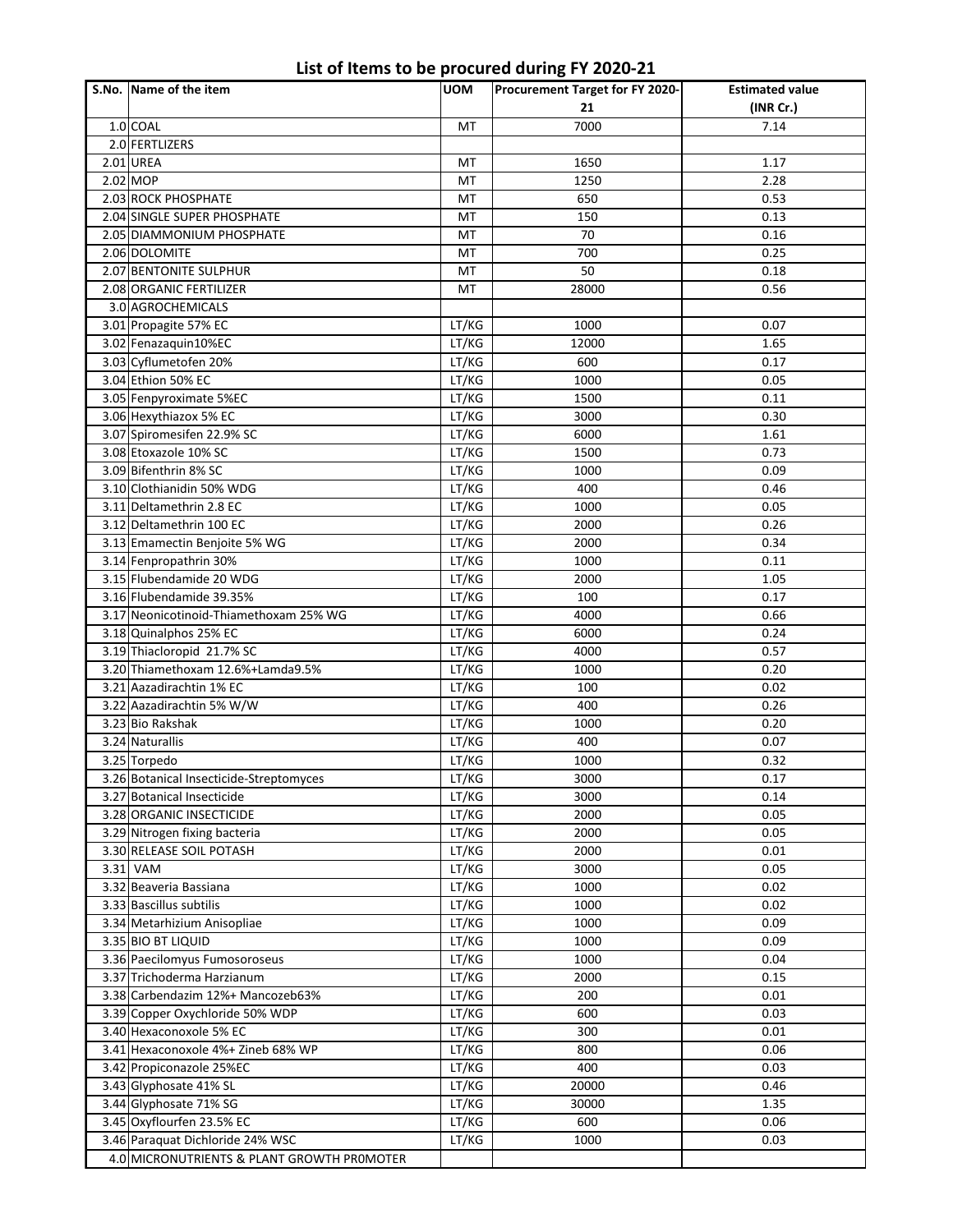## **List of Items to be procured during FY 2020-21**

| S.No. Name of the item                        | <b>UOM</b> | Procurement Target for FY 2020- | <b>Estimated value</b> |
|-----------------------------------------------|------------|---------------------------------|------------------------|
|                                               |            | 21                              | (INR Cr.)              |
| 1.0 COAL                                      | MT         | 7000                            | 7.14                   |
| 2.0 FERTLIZERS                                |            |                                 |                        |
| 2.01 UREA                                     | MT         | 1650                            | 1.17                   |
| 2.02 MOP                                      | MT         | 1250                            | 2.28                   |
| 2.03 ROCK PHOSPHATE                           | MT         | 650                             | 0.53                   |
| 2.04 SINGLE SUPER PHOSPHATE                   | MT         | 150                             | 0.13                   |
| 2.05 DIAMMONIUM PHOSPHATE                     | MT         | 70                              | 0.16                   |
| 2.06 DOLOMITE                                 | MT         | 700                             | 0.25                   |
| 2.07 BENTONITE SULPHUR                        | MT         | 50                              | 0.18                   |
| 2.08 ORGANIC FERTILIZER                       | MT         | 28000                           | 0.56                   |
| 3.0 AGROCHEMICALS                             |            |                                 |                        |
| 3.01 Propagite 57% EC                         | LT/KG      | 1000                            | 0.07                   |
|                                               | LT/KG      | 12000                           | 1.65                   |
| 3.02 Fenazaquin10%EC<br>3.03 Cyflumetofen 20% | LT/KG      |                                 |                        |
|                                               |            | 600                             | 0.17                   |
| 3.04 Ethion 50% EC                            | LT/KG      | 1000                            | 0.05                   |
| 3.05 Fenpyroximate 5%EC                       | LT/KG      | 1500                            | 0.11                   |
| 3.06 Hexythiazox 5% EC                        | LT/KG      | 3000                            | 0.30                   |
| 3.07 Spiromesifen 22.9% SC                    | LT/KG      | 6000                            | 1.61                   |
| 3.08 Etoxazole 10% SC                         | LT/KG      | 1500                            | 0.73                   |
| 3.09 Bifenthrin 8% SC                         | LT/KG      | 1000                            | 0.09                   |
| 3.10 Clothianidin 50% WDG                     | LT/KG      | 400                             | 0.46                   |
| 3.11 Deltamethrin 2.8 EC                      | LT/KG      | 1000                            | 0.05                   |
| 3.12 Deltamethrin 100 EC                      | LT/KG      | 2000                            | 0.26                   |
| 3.13 Emamectin Benjoite 5% WG                 | LT/KG      | 2000                            | 0.34                   |
| 3.14 Fenpropathrin 30%                        | LT/KG      | 1000                            | 0.11                   |
| 3.15 Flubendamide 20 WDG                      | LT/KG      | 2000                            | 1.05                   |
| 3.16 Flubendamide 39.35%                      | LT/KG      | 100                             | 0.17                   |
| 3.17 Neonicotinoid-Thiamethoxam 25% WG        | LT/KG      | 4000                            | 0.66                   |
| 3.18 Quinalphos 25% EC                        | LT/KG      | 6000                            | 0.24                   |
| 3.19 Thiacloropid 21.7% SC                    | LT/KG      | 4000                            | 0.57                   |
| 3.20 Thiamethoxam 12.6%+Lamda9.5%             | LT/KG      | 1000                            | 0.20                   |
| 3.21 Aazadirachtin 1% EC                      | LT/KG      | 100                             | 0.02                   |
| 3.22 Aazadirachtin 5% W/W                     | LT/KG      | 400                             | 0.26                   |
| 3.23 Bio Rakshak                              | LT/KG      | 1000                            | 0.20                   |
| 3.24 Naturallis                               | LT/KG      | 400                             | 0.07                   |
| 3.25 Torpedo                                  | LT/KG      | 1000                            | 0.32                   |
| 3.26 Botanical Insecticide-Streptomyces       | LT/KG      | 3000                            | 0.17                   |
| 3.27 Botanical Insecticide                    | LT/KG      | 3000                            | 0.14                   |
| 3.28 ORGANIC INSECTICIDE                      | LT/KG      | 2000                            | 0.05                   |
| 3.29 Nitrogen fixing bacteria                 | LT/KG      | 2000                            | 0.05                   |
| 3.30 RELEASE SOIL POTASH                      | LT/KG      | 2000                            | 0.01                   |
| 3.31 VAM                                      | LT/KG      | 3000                            | 0.05                   |
| 3.32 Beaveria Bassiana                        | LT/KG      | 1000                            | 0.02                   |
| 3.33 Bascillus subtilis                       | LT/KG      | 1000                            | 0.02                   |
| 3.34 Metarhizium Anisopliae                   | LT/KG      | 1000                            | 0.09                   |
| 3.35 BIO BT LIQUID                            | LT/KG      | 1000                            | 0.09                   |
| 3.36 Paecilomyus Fumosoroseus                 | LT/KG      | 1000                            | 0.04                   |
| 3.37 Trichoderma Harzianum                    | LT/KG      | 2000                            | 0.15                   |
| 3.38 Carbendazim 12%+ Mancozeb63%             | LT/KG      | 200                             | 0.01                   |
| 3.39 Copper Oxychloride 50% WDP               | LT/KG      | 600                             | 0.03                   |
| 3.40 Hexaconoxole 5% EC                       | LT/KG      | 300                             | 0.01                   |
| 3.41 Hexaconoxole 4%+ Zineb 68% WP            | LT/KG      | 800                             | 0.06                   |
|                                               |            |                                 |                        |
| 3.42 Propiconazole 25%EC                      | LT/KG      | 400                             | 0.03                   |
| 3.43 Glyphosate 41% SL                        | LT/KG      | 20000                           | 0.46                   |
| 3.44 Glyphosate 71% SG                        | LT/KG      | 30000                           | 1.35                   |
| 3.45 Oxyflourfen 23.5% EC                     | LT/KG      | 600                             | 0.06                   |
| 3.46 Paraquat Dichloride 24% WSC              | LT/KG      | 1000                            | 0.03                   |
| 4.0 MICRONUTRIENTS & PLANT GROWTH PROMOTER    |            |                                 |                        |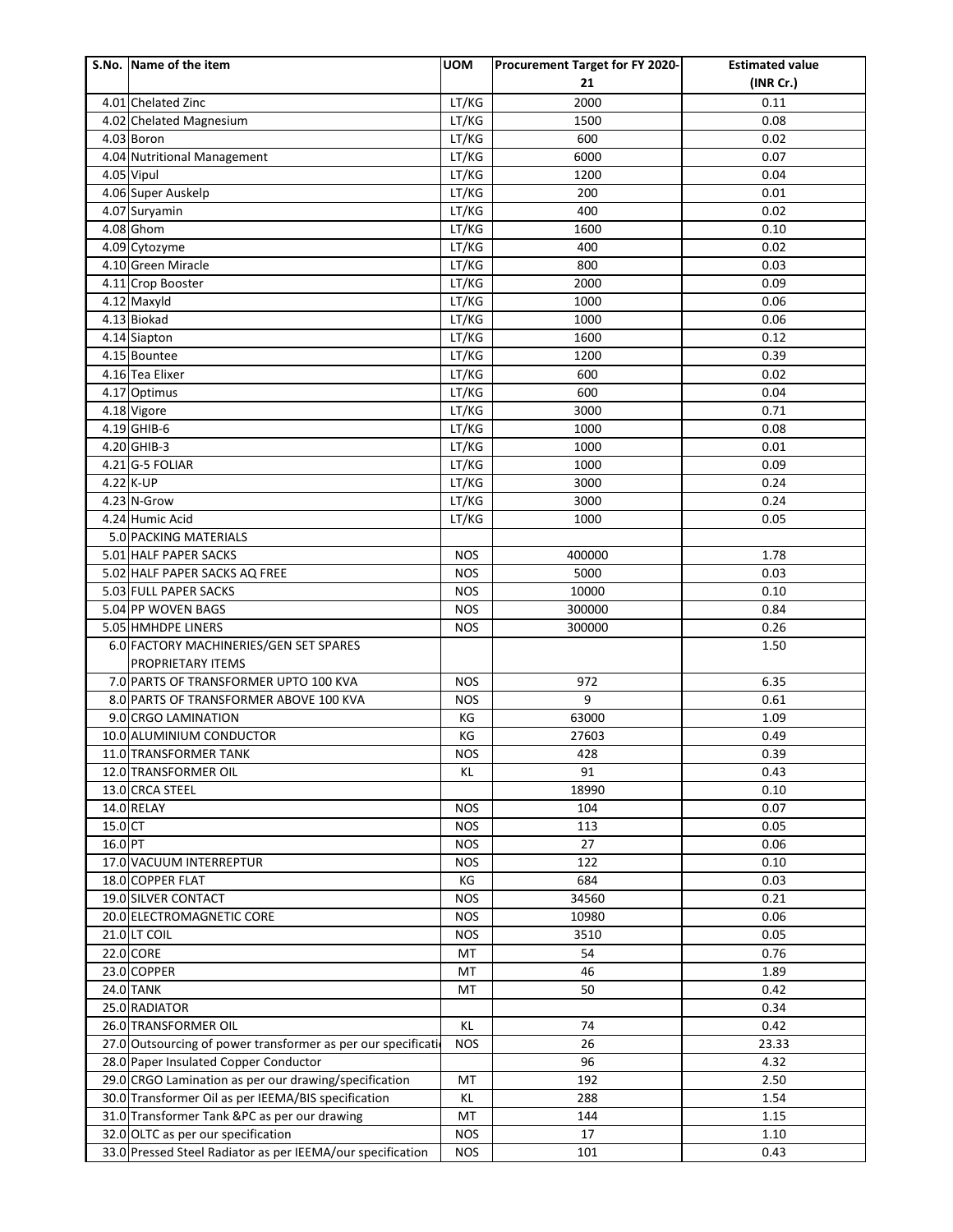|           | S.No. Name of the item                                       | <b>UOM</b> | Procurement Target for FY 2020- | <b>Estimated value</b> |
|-----------|--------------------------------------------------------------|------------|---------------------------------|------------------------|
|           |                                                              |            | 21                              | (INR Cr.)              |
|           | 4.01 Chelated Zinc                                           | LT/KG      | 2000                            | 0.11                   |
|           | 4.02 Chelated Magnesium                                      | LT/KG      | 1500                            | 0.08                   |
|           | 4.03 Boron                                                   | LT/KG      | 600                             | 0.02                   |
|           | 4.04 Nutritional Management                                  | LT/KG      | 6000                            | 0.07                   |
|           | 4.05 Vipul                                                   | LT/KG      | 1200                            | 0.04                   |
|           | 4.06 Super Auskelp                                           | LT/KG      | 200                             | 0.01                   |
|           | 4.07 Suryamin                                                | LT/KG      | 400                             | 0.02                   |
|           | 4.08 Ghom                                                    | LT/KG      | 1600                            | 0.10                   |
|           | 4.09 Cytozyme                                                | LT/KG      | 400                             | 0.02                   |
|           | 4.10 Green Miracle                                           | LT/KG      | 800                             | 0.03                   |
|           | 4.11 Crop Booster                                            | LT/KG      | 2000                            | 0.09                   |
|           | 4.12 Maxyld                                                  | LT/KG      | 1000                            | 0.06                   |
|           | 4.13 Biokad                                                  | LT/KG      | 1000                            | 0.06                   |
|           | 4.14 Siapton                                                 | LT/KG      | 1600                            | 0.12                   |
|           | 4.15 Bountee                                                 | LT/KG      | 1200                            | 0.39                   |
|           | 4.16 Tea Elixer                                              | LT/KG      | 600                             | 0.02                   |
|           | 4.17 Optimus                                                 | LT/KG      | 600                             | 0.04                   |
|           | 4.18 Vigore                                                  | LT/KG      | 3000                            | 0.71                   |
|           | 4.19 GHIB-6                                                  | LT/KG      | 1000                            | 0.08                   |
|           | 4.20 GHIB-3                                                  | LT/KG      | 1000                            | 0.01                   |
|           | 4.21 G-5 FOLIAR                                              | LT/KG      | 1000                            | 0.09                   |
|           | 4.22 K-UP                                                    | LT/KG      | 3000                            | 0.24                   |
|           | 4.23 N-Grow                                                  | LT/KG      | 3000                            | 0.24                   |
|           | 4.24 Humic Acid                                              | LT/KG      | 1000                            | 0.05                   |
|           | 5.0 PACKING MATERIALS                                        |            |                                 |                        |
|           | 5.01 HALF PAPER SACKS                                        | <b>NOS</b> | 400000                          | 1.78                   |
|           | 5.02 HALF PAPER SACKS AQ FREE                                | <b>NOS</b> | 5000                            | 0.03                   |
|           | 5.03 FULL PAPER SACKS                                        | <b>NOS</b> | 10000                           | 0.10                   |
|           | 5.04 PP WOVEN BAGS                                           | <b>NOS</b> | 300000                          | 0.84                   |
|           | 5.05 HMHDPE LINERS                                           | <b>NOS</b> | 300000                          | 0.26                   |
|           | 6.0 FACTORY MACHINERIES/GEN SET SPARES                       |            |                                 | 1.50                   |
|           | <b>PROPRIETARY ITEMS</b>                                     |            |                                 |                        |
|           | 7.0 PARTS OF TRANSFORMER UPTO 100 KVA                        | <b>NOS</b> | 972                             | 6.35                   |
|           | 8.0 PARTS OF TRANSFORMER ABOVE 100 KVA                       | <b>NOS</b> | 9                               | 0.61                   |
|           | 9.0 CRGO LAMINATION                                          | KG         | 63000                           | 1.09                   |
|           | 10.0 ALUMINIUM CONDUCTOR                                     | KG         | 27603                           | 0.49                   |
|           | 11.0 TRANSFORMER TANK                                        | <b>NOS</b> | 428                             | 0.39                   |
|           | 12.0 TRANSFORMER OIL                                         | KL         | 91                              | 0.43                   |
|           | 13.0 CRCA STEEL                                              |            | 18990                           | 0.10                   |
|           | 14.0 RELAY                                                   | <b>NOS</b> | 104                             | 0.07                   |
| $15.0$ CT |                                                              | <b>NOS</b> | 113                             | 0.05                   |
| 16.0 PT   |                                                              | <b>NOS</b> | 27                              | 0.06                   |
|           | 17.0 VACUUM INTERREPTUR                                      | <b>NOS</b> | 122                             | 0.10                   |
|           | 18.0 COPPER FLAT                                             | KG         | 684                             | 0.03                   |
|           | 19.0 SILVER CONTACT                                          | <b>NOS</b> | 34560                           | 0.21                   |
|           | 20.0 ELECTROMAGNETIC CORE                                    | <b>NOS</b> | 10980                           | 0.06                   |
|           | 21.0 LT COIL                                                 | <b>NOS</b> | 3510                            | 0.05                   |
|           | 22.0 CORE                                                    | MT         | 54                              | 0.76                   |
|           | 23.0 COPPER                                                  | MT         | 46                              | 1.89                   |
|           | <b>24.0 TANK</b>                                             | MT         | 50                              | 0.42                   |
|           | 25.0 RADIATOR                                                |            |                                 | 0.34                   |
|           | 26.0 TRANSFORMER OIL                                         | KL         | 74                              | 0.42                   |
|           | 27.0 Outsourcing of power transformer as per our specificati | <b>NOS</b> | 26                              | 23.33                  |
|           | 28.0 Paper Insulated Copper Conductor                        |            | 96                              | 4.32                   |
|           | 29.0 CRGO Lamination as per our drawing/specification        | MT         | 192                             | 2.50                   |
|           | 30.0 Transformer Oil as per IEEMA/BIS specification          | KL         | 288                             | 1.54                   |
|           | 31.0 Transformer Tank &PC as per our drawing                 | MT         | 144                             | 1.15                   |
|           | 32.0 OLTC as per our specification                           | <b>NOS</b> | 17                              | 1.10                   |
|           | 33.0 Pressed Steel Radiator as per IEEMA/our specification   | <b>NOS</b> | 101                             | 0.43                   |